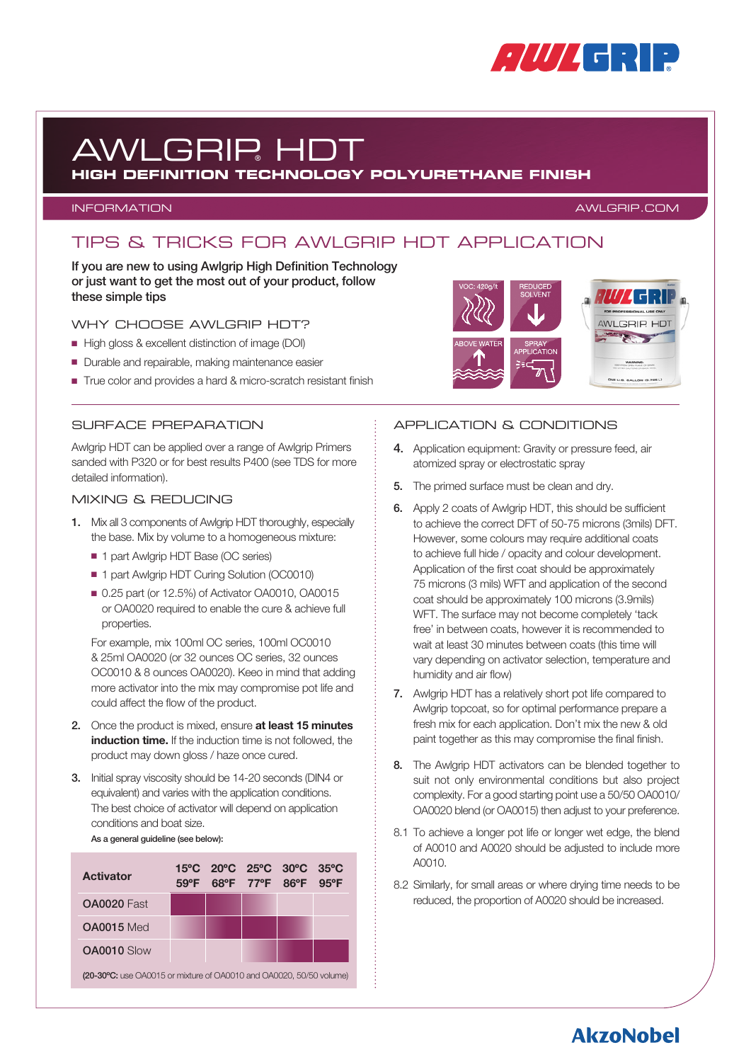

# AWLGRIP® HDT

### **HIGH DEFINITION TECHNOLOGY POLYURETHANE FINISH**

#### INFORMATION AWLGRIP.COM

### TIPS & TRICKS FOR AWLGRIP HDT APPLICATION

If you are new to using Awlgrip High Definition Technology or just want to get the most out of your product, follow these simple tips

#### WHY CHOOSE AWLGRIP HDT?

- High gloss & excellent distinction of image (DOI)
- Durable and repairable, making maintenance easier
- True color and provides a hard & micro-scratch resistant finish



#### SURFACE PREPARATION

Awlgrip HDT can be applied over a range of Awlgrip Primers sanded with P320 or for best results P400 (see TDS for more detailed information).

#### MIXING & REDUCING

- 1. Mix all 3 components of Awlgrip HDT thoroughly, especially the base. Mix by volume to a homogeneous mixture:
	- 1 part Awlgrip HDT Base (OC series)
	- 1 part Awlgrip HDT Curing Solution (OC0010)
	- 0.25 part (or 12.5%) of Activator OA0010, OA0015 or OA0020 required to enable the cure & achieve full properties.

For example, mix 100ml OC series, 100ml OC0010 & 25ml OA0020 (or 32 ounces OC series, 32 ounces OC0010 & 8 ounces OA0020). Keeo in mind that adding more activator into the mix may compromise pot life and could affect the flow of the product.

- 2. Once the product is mixed, ensure at least 15 minutes induction time. If the induction time is not followed, the product may down gloss / haze once cured.
- 3. Initial spray viscosity should be 14-20 seconds (DIN4 or equivalent) and varies with the application conditions. The best choice of activator will depend on application conditions and boat size.

As a general guideline (see below):

| <b>Activator</b>                                                    | $59^{\circ}$ F |  | 15°C 20°C 25°C 30°C 35°C<br>68°F 77°F 86°F 95°F |  |  |
|---------------------------------------------------------------------|----------------|--|-------------------------------------------------|--|--|
| <b>OA0020 Fast</b>                                                  |                |  |                                                 |  |  |
| OA0015 Med                                                          |                |  |                                                 |  |  |
| OA0010 Slow                                                         |                |  |                                                 |  |  |
| (20-30°C: use OA0015 or mixture of OA0010 and OA0020, 50/50 volume) |                |  |                                                 |  |  |

#### APPLICATION & CONDITIONS

- 4. Application equipment: Gravity or pressure feed, air atomized spray or electrostatic spray
- 5. The primed surface must be clean and dry.
- 6. Apply 2 coats of Awlgrip HDT, this should be sufficient to achieve the correct DFT of 50-75 microns (3mils) DFT. However, some colours may require additional coats to achieve full hide / opacity and colour development. Application of the first coat should be approximately 75 microns (3 mils) WFT and application of the second coat should be approximately 100 microns (3.9mils) WFT. The surface may not become completely 'tack free' in between coats, however it is recommended to wait at least 30 minutes between coats (this time will vary depending on activator selection, temperature and humidity and air flow)
- 7. Awlgrip HDT has a relatively short pot life compared to Awlgrip topcoat, so for optimal performance prepare a fresh mix for each application. Don't mix the new & old paint together as this may compromise the final finish.
- 8. The Awlgrip HDT activators can be blended together to suit not only environmental conditions but also project complexity. For a good starting point use a 50/50 OA0010/ OA0020 blend (or OA0015) then adjust to your preference.
- 8.1 To achieve a longer pot life or longer wet edge, the blend of A0010 and A0020 should be adjusted to include more A0010.
- 8.2 Similarly, for small areas or where drying time needs to be reduced, the proportion of A0020 should be increased.